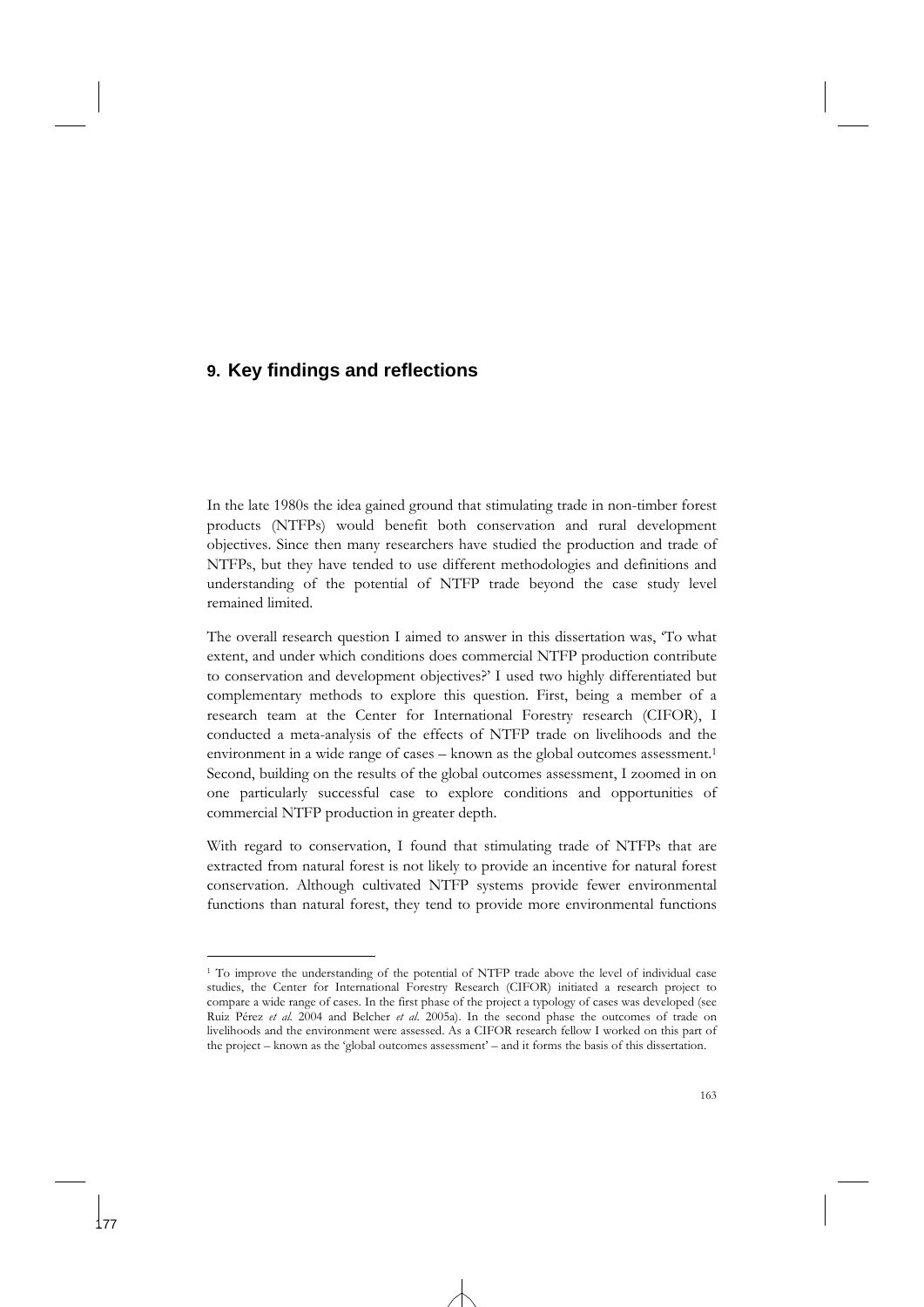# **9. Key findings and reflections**

-

In the late 1980s the idea gained ground that stimulating trade in non-timber forest products (NTFPs) would benefit both conservation and rural development objectives. Since then many researchers have studied the production and trade of NTFPs, but they have tended to use different methodologies and definitions and understanding of the potential of NTFP trade beyond the case study level remained limited.

The overall research question I aimed to answer in this dissertation was, 'To what extent, and under which conditions does commercial NTFP production contribute to conservation and development objectives?' I used two highly differentiated but complementary methods to explore this question. First, being a member of a research team at the Center for International Forestry research (CIFOR), I conducted a meta-analysis of the effects of NTFP trade on livelihoods and the environment in a wide range of cases – known as the global outcomes assessment.<sup>1</sup> Second, building on the results of the global outcomes assessment, I zoomed in on one particularly successful case to explore conditions and opportunities of commercial NTFP production in greater depth.

With regard to conservation, I found that stimulating trade of NTFPs that are extracted from natural forest is not likely to provide an incentive for natural forest conservation. Although cultivated NTFP systems provide fewer environmental functions than natural forest, they tend to provide more environmental functions

<sup>1</sup> To improve the understanding of the potential of NTFP trade above the level of individual case studies, the Center for International Forestry Research (CIFOR) initiated a research project to compare a wide range of cases. In the first phase of the project a typology of cases was developed (see Ruiz Pérez *et al.* 2004 and Belcher *et al.* 2005a). In the second phase the outcomes of trade on livelihoods and the environment were assessed. As a CIFOR research fellow I worked on this part of the project – known as the 'global outcomes assessment' – and it forms the basis of this dissertation.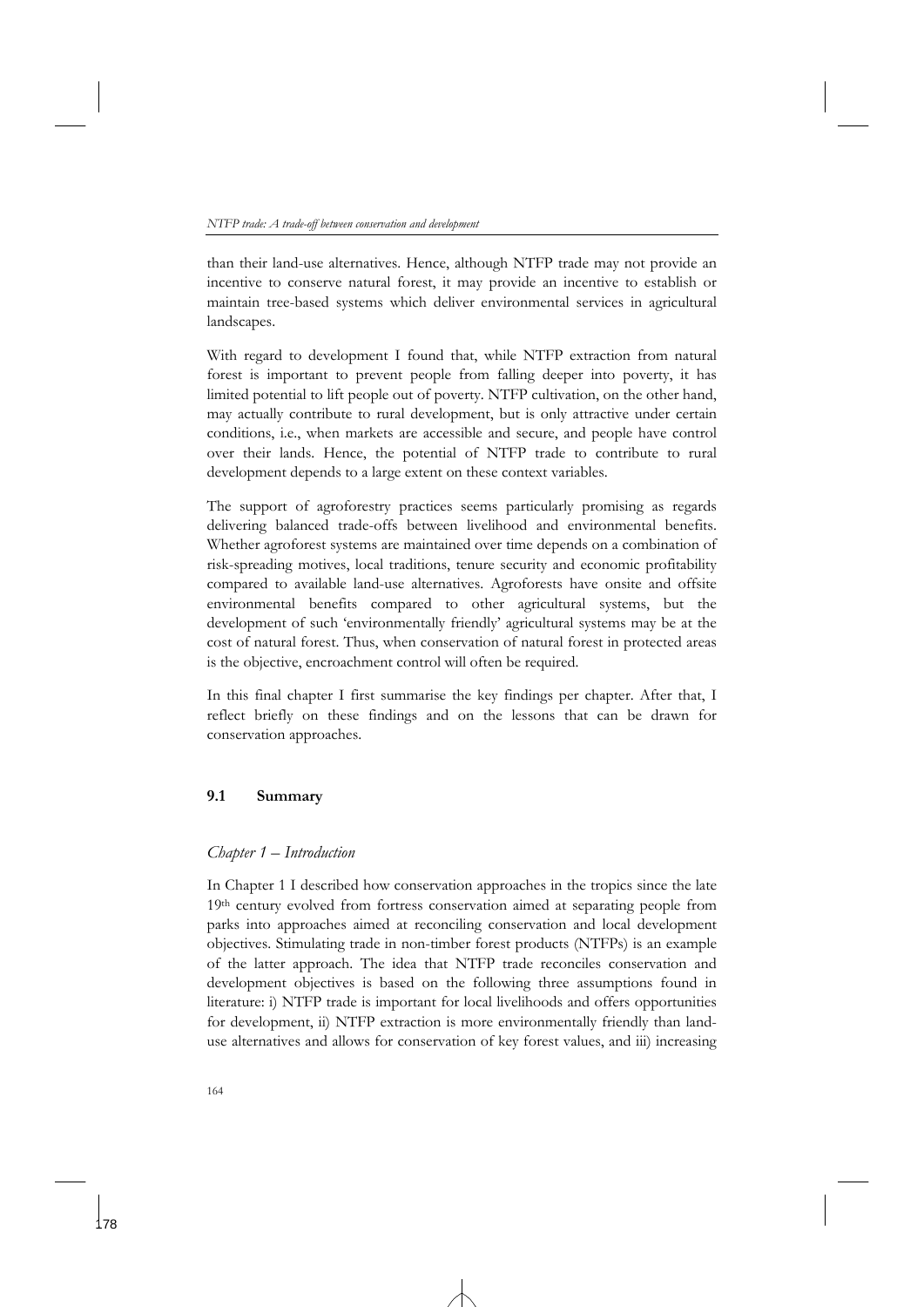than their land-use alternatives. Hence, although NTFP trade may not provide an incentive to conserve natural forest, it may provide an incentive to establish or maintain tree-based systems which deliver environmental services in agricultural landscapes.

With regard to development I found that, while NTFP extraction from natural forest is important to prevent people from falling deeper into poverty, it has limited potential to lift people out of poverty. NTFP cultivation, on the other hand, may actually contribute to rural development, but is only attractive under certain conditions, i.e., when markets are accessible and secure, and people have control over their lands. Hence, the potential of NTFP trade to contribute to rural development depends to a large extent on these context variables.

The support of agroforestry practices seems particularly promising as regards delivering balanced trade-offs between livelihood and environmental benefits. Whether agroforest systems are maintained over time depends on a combination of risk-spreading motives, local traditions, tenure security and economic profitability compared to available land-use alternatives. Agroforests have onsite and offsite environmental benefits compared to other agricultural systems, but the development of such 'environmentally friendly' agricultural systems may be at the cost of natural forest. Thus, when conservation of natural forest in protected areas is the objective, encroachment control will often be required.

In this final chapter I first summarise the key findings per chapter. After that, I reflect briefly on these findings and on the lessons that can be drawn for conservation approaches.

## **9.1 Summary**

## *Chapter 1 – Introduction*

In Chapter 1 I described how conservation approaches in the tropics since the late 19th century evolved from fortress conservation aimed at separating people from parks into approaches aimed at reconciling conservation and local development objectives. Stimulating trade in non-timber forest products (NTFPs) is an example of the latter approach. The idea that NTFP trade reconciles conservation and development objectives is based on the following three assumptions found in literature: i) NTFP trade is important for local livelihoods and offers opportunities for development, ii) NTFP extraction is more environmentally friendly than landuse alternatives and allows for conservation of key forest values, and iii) increasing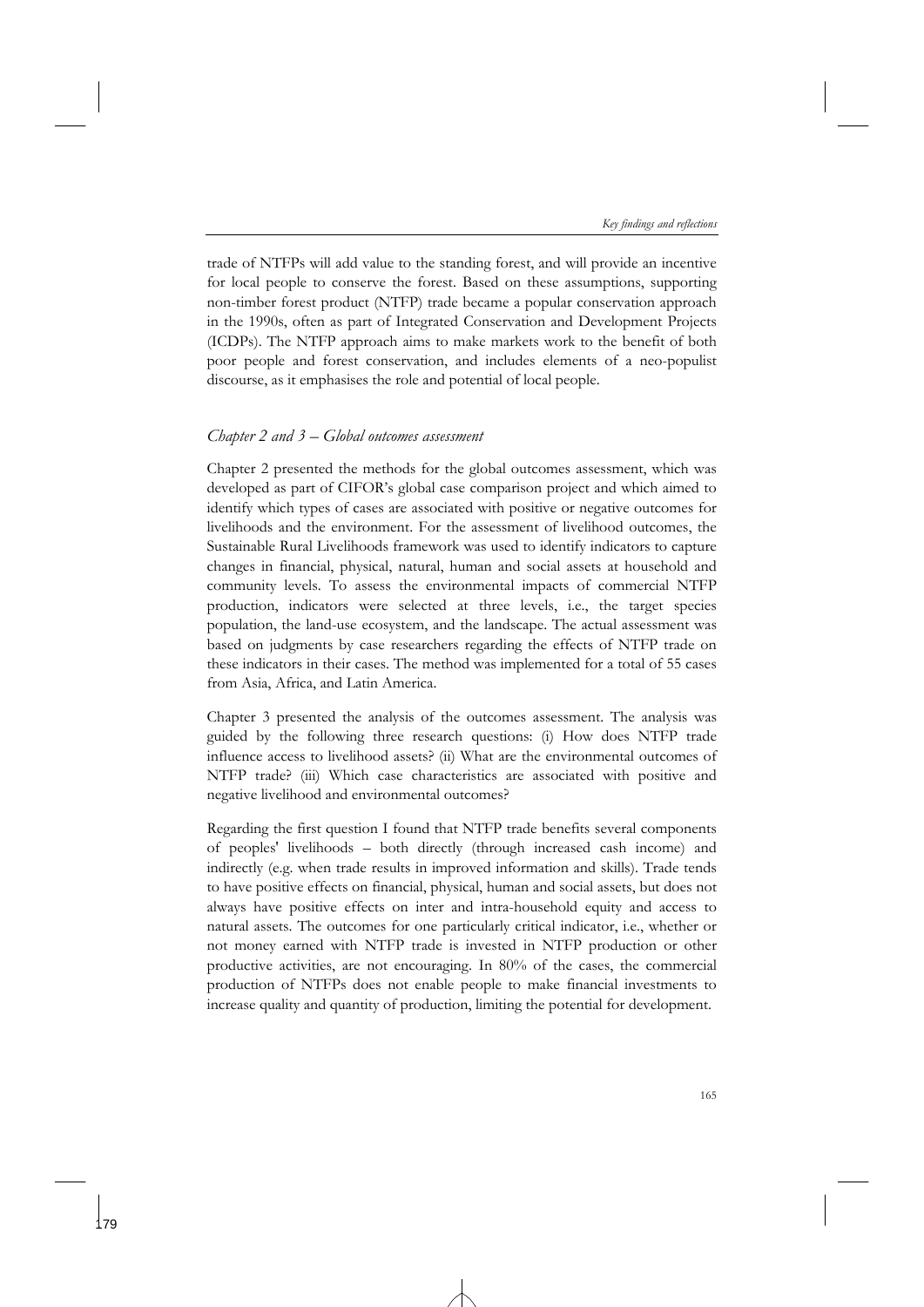trade of NTFPs will add value to the standing forest, and will provide an incentive for local people to conserve the forest. Based on these assumptions, supporting non-timber forest product (NTFP) trade became a popular conservation approach in the 1990s, often as part of Integrated Conservation and Development Projects (ICDPs). The NTFP approach aims to make markets work to the benefit of both poor people and forest conservation, and includes elements of a neo-populist discourse, as it emphasises the role and potential of local people.

### *Chapter 2 and 3 – Global outcomes assessment*

Chapter 2 presented the methods for the global outcomes assessment, which was developed as part of CIFOR's global case comparison project and which aimed to identify which types of cases are associated with positive or negative outcomes for livelihoods and the environment. For the assessment of livelihood outcomes, the Sustainable Rural Livelihoods framework was used to identify indicators to capture changes in financial, physical, natural, human and social assets at household and community levels. To assess the environmental impacts of commercial NTFP production, indicators were selected at three levels, i.e., the target species population, the land-use ecosystem, and the landscape. The actual assessment was based on judgments by case researchers regarding the effects of NTFP trade on these indicators in their cases. The method was implemented for a total of 55 cases from Asia, Africa, and Latin America.

Chapter 3 presented the analysis of the outcomes assessment. The analysis was guided by the following three research questions: (i) How does NTFP trade influence access to livelihood assets? (ii) What are the environmental outcomes of NTFP trade? (iii) Which case characteristics are associated with positive and negative livelihood and environmental outcomes?

Regarding the first question I found that NTFP trade benefits several components of peoples' livelihoods – both directly (through increased cash income) and indirectly (e.g. when trade results in improved information and skills). Trade tends to have positive effects on financial, physical, human and social assets, but does not always have positive effects on inter and intra-household equity and access to natural assets. The outcomes for one particularly critical indicator, i.e., whether or not money earned with NTFP trade is invested in NTFP production or other productive activities, are not encouraging. In 80% of the cases, the commercial production of NTFPs does not enable people to make financial investments to increase quality and quantity of production, limiting the potential for development.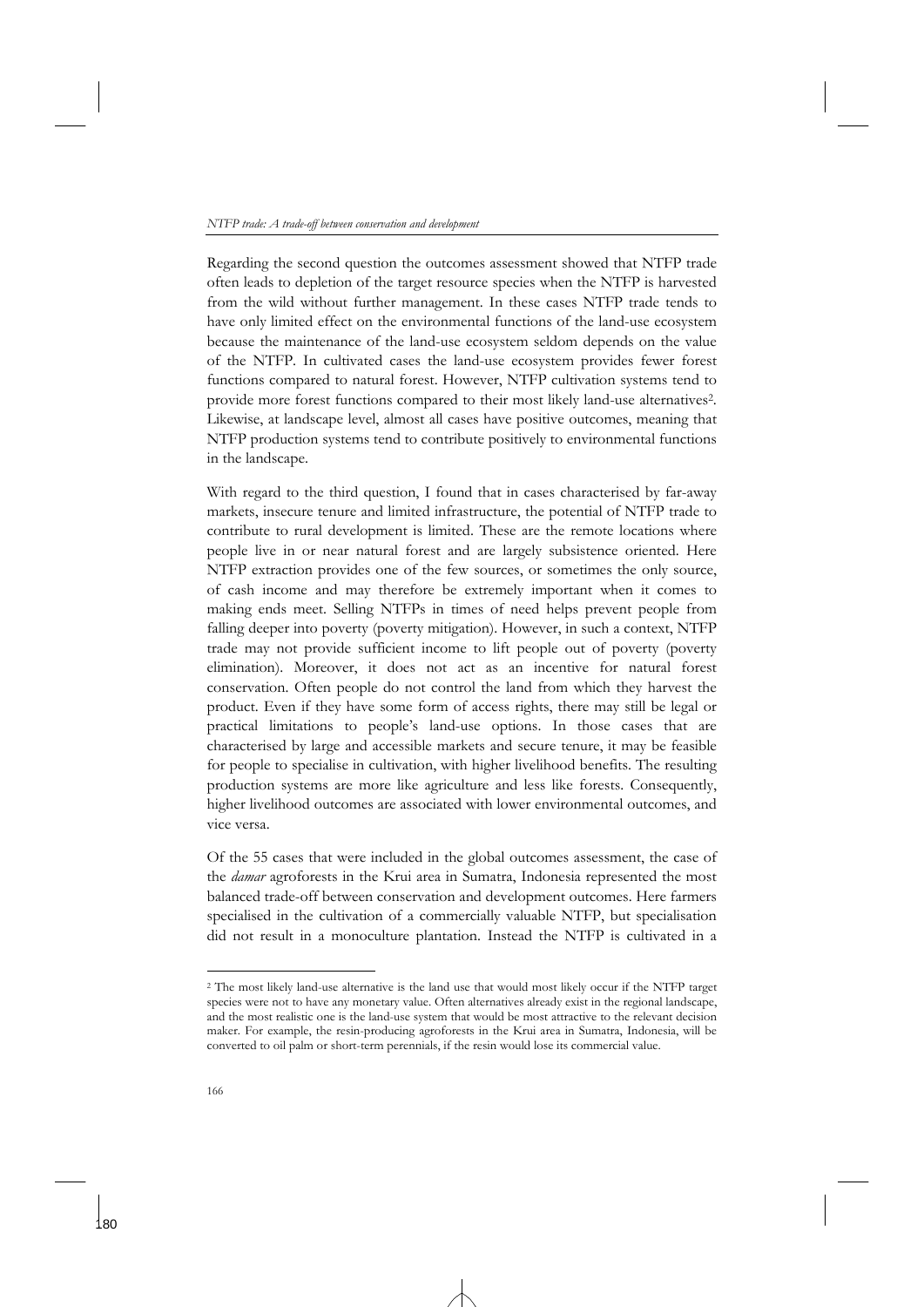Regarding the second question the outcomes assessment showed that NTFP trade often leads to depletion of the target resource species when the NTFP is harvested from the wild without further management. In these cases NTFP trade tends to have only limited effect on the environmental functions of the land-use ecosystem because the maintenance of the land-use ecosystem seldom depends on the value of the NTFP. In cultivated cases the land-use ecosystem provides fewer forest functions compared to natural forest. However, NTFP cultivation systems tend to provide more forest functions compared to their most likely land-use alternatives2. Likewise, at landscape level, almost all cases have positive outcomes, meaning that NTFP production systems tend to contribute positively to environmental functions in the landscape.

With regard to the third question, I found that in cases characterised by far-away markets, insecure tenure and limited infrastructure, the potential of NTFP trade to contribute to rural development is limited. These are the remote locations where people live in or near natural forest and are largely subsistence oriented. Here NTFP extraction provides one of the few sources, or sometimes the only source, of cash income and may therefore be extremely important when it comes to making ends meet. Selling NTFPs in times of need helps prevent people from falling deeper into poverty (poverty mitigation). However, in such a context, NTFP trade may not provide sufficient income to lift people out of poverty (poverty elimination). Moreover, it does not act as an incentive for natural forest conservation. Often people do not control the land from which they harvest the product. Even if they have some form of access rights, there may still be legal or practical limitations to people's land-use options. In those cases that are characterised by large and accessible markets and secure tenure, it may be feasible for people to specialise in cultivation, with higher livelihood benefits. The resulting production systems are more like agriculture and less like forests. Consequently, higher livelihood outcomes are associated with lower environmental outcomes, and vice versa.

Of the 55 cases that were included in the global outcomes assessment, the case of the *damar* agroforests in the Krui area in Sumatra, Indonesia represented the most balanced trade-off between conservation and development outcomes. Here farmers specialised in the cultivation of a commercially valuable NTFP, but specialisation did not result in a monoculture plantation. Instead the NTFP is cultivated in a

<sup>2</sup> The most likely land-use alternative is the land use that would most likely occur if the NTFP target species were not to have any monetary value. Often alternatives already exist in the regional landscape, and the most realistic one is the land-use system that would be most attractive to the relevant decision maker. For example, the resin-producing agroforests in the Krui area in Sumatra, Indonesia, will be converted to oil palm or short-term perennials, if the resin would lose its commercial value.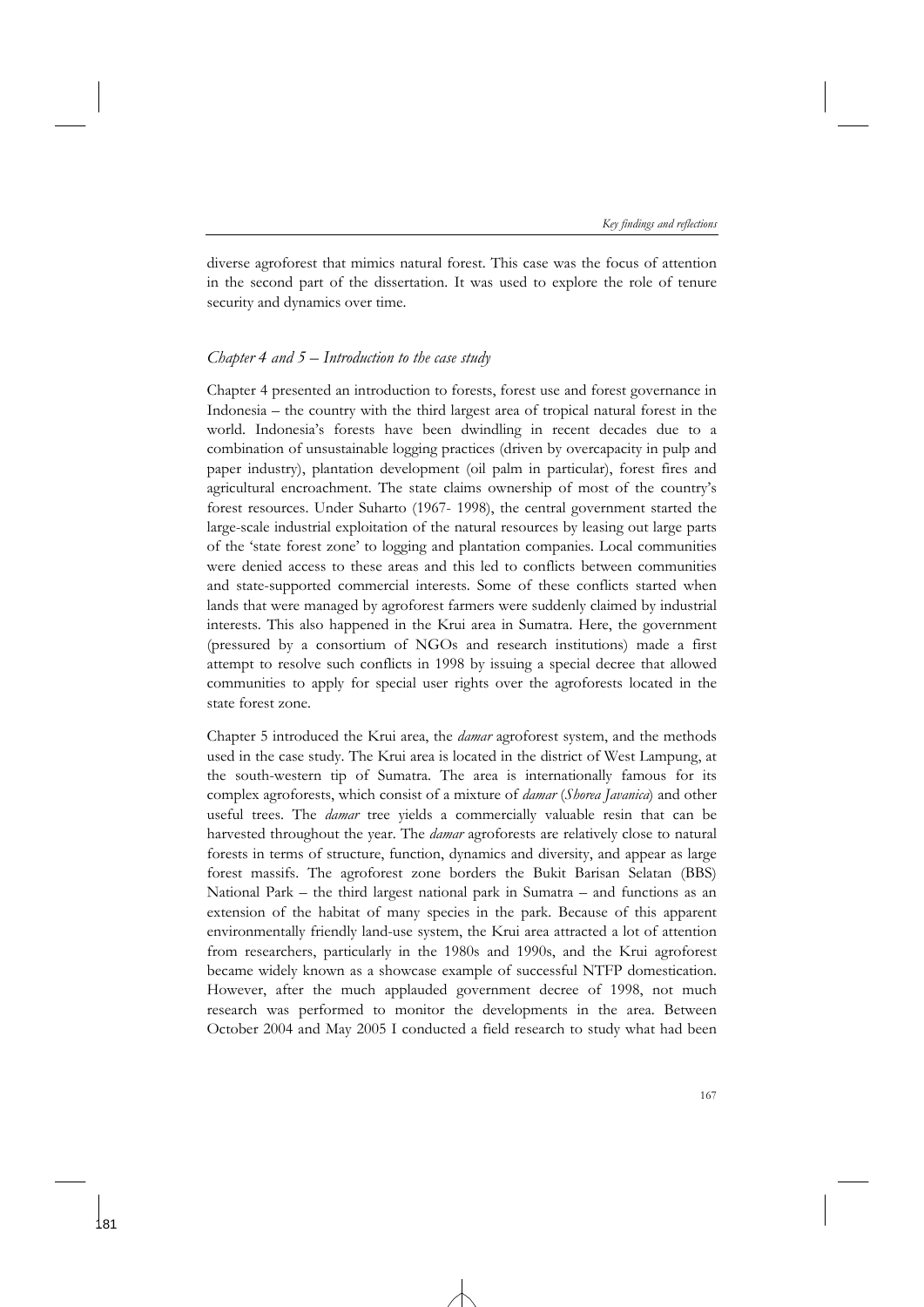diverse agroforest that mimics natural forest. This case was the focus of attention in the second part of the dissertation. It was used to explore the role of tenure security and dynamics over time.

### *Chapter 4 and 5 – Introduction to the case study*

Chapter 4 presented an introduction to forests, forest use and forest governance in Indonesia – the country with the third largest area of tropical natural forest in the world. Indonesia's forests have been dwindling in recent decades due to a combination of unsustainable logging practices (driven by overcapacity in pulp and paper industry), plantation development (oil palm in particular), forest fires and agricultural encroachment. The state claims ownership of most of the country's forest resources. Under Suharto (1967- 1998), the central government started the large-scale industrial exploitation of the natural resources by leasing out large parts of the 'state forest zone' to logging and plantation companies. Local communities were denied access to these areas and this led to conflicts between communities and state-supported commercial interests. Some of these conflicts started when lands that were managed by agroforest farmers were suddenly claimed by industrial interests. This also happened in the Krui area in Sumatra. Here, the government (pressured by a consortium of NGOs and research institutions) made a first attempt to resolve such conflicts in 1998 by issuing a special decree that allowed communities to apply for special user rights over the agroforests located in the state forest zone.

Chapter 5 introduced the Krui area, the *damar* agroforest system, and the methods used in the case study. The Krui area is located in the district of West Lampung, at the south-western tip of Sumatra. The area is internationally famous for its complex agroforests, which consist of a mixture of *damar* (*Shorea Javanica*) and other useful trees. The *damar* tree yields a commercially valuable resin that can be harvested throughout the year. The *damar* agroforests are relatively close to natural forests in terms of structure, function, dynamics and diversity, and appear as large forest massifs. The agroforest zone borders the Bukit Barisan Selatan (BBS) National Park – the third largest national park in Sumatra – and functions as an extension of the habitat of many species in the park. Because of this apparent environmentally friendly land-use system, the Krui area attracted a lot of attention from researchers, particularly in the 1980s and 1990s, and the Krui agroforest became widely known as a showcase example of successful NTFP domestication. However, after the much applauded government decree of 1998, not much research was performed to monitor the developments in the area. Between October 2004 and May 2005 I conducted a field research to study what had been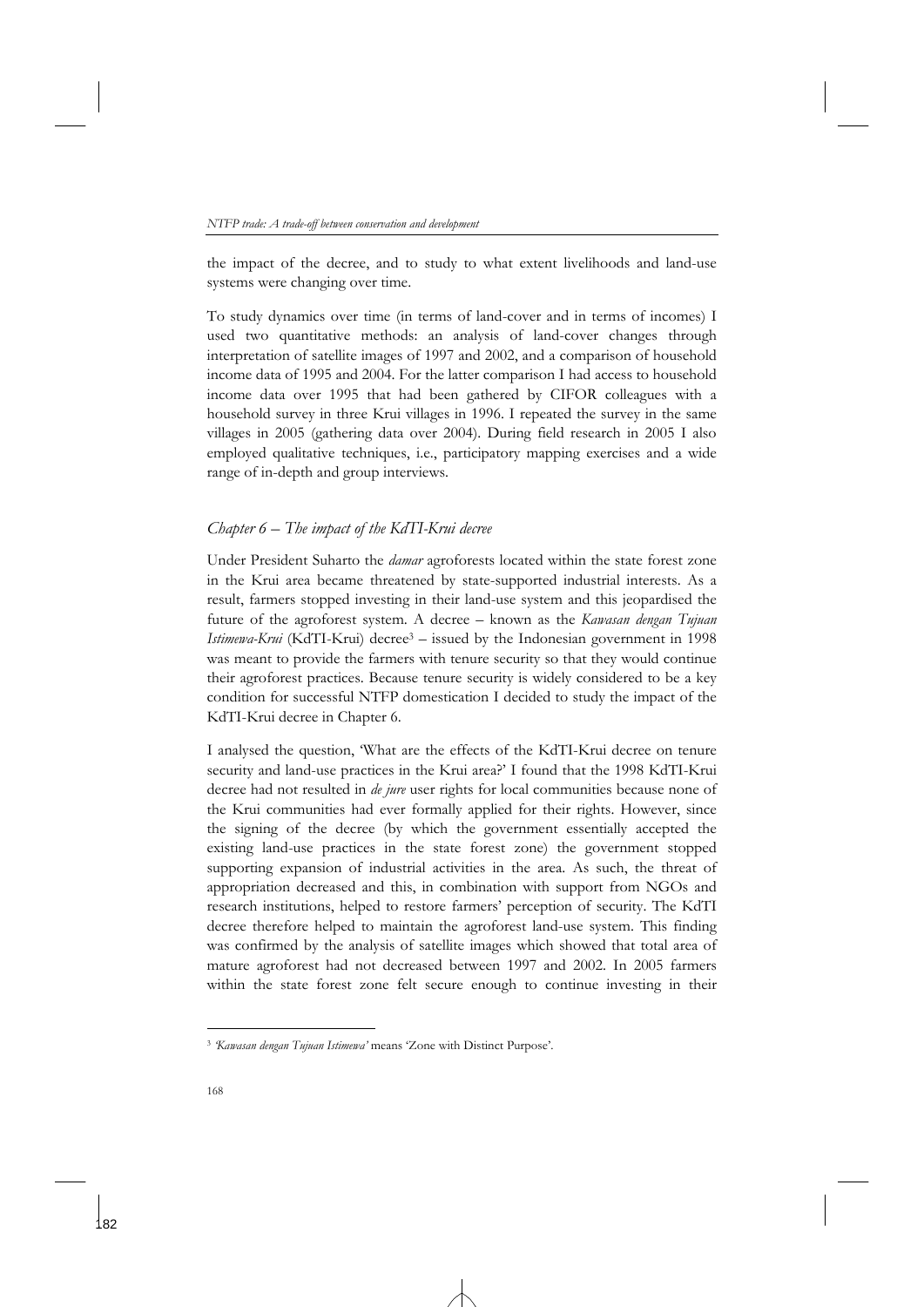the impact of the decree, and to study to what extent livelihoods and land-use systems were changing over time.

To study dynamics over time (in terms of land-cover and in terms of incomes) I used two quantitative methods: an analysis of land-cover changes through interpretation of satellite images of 1997 and 2002, and a comparison of household income data of 1995 and 2004. For the latter comparison I had access to household income data over 1995 that had been gathered by CIFOR colleagues with a household survey in three Krui villages in 1996. I repeated the survey in the same villages in 2005 (gathering data over 2004). During field research in 2005 I also employed qualitative techniques, i.e., participatory mapping exercises and a wide range of in-depth and group interviews.

## *Chapter 6 – The impact of the KdTI-Krui decree*

Under President Suharto the *damar* agroforests located within the state forest zone in the Krui area became threatened by state-supported industrial interests. As a result, farmers stopped investing in their land-use system and this jeopardised the future of the agroforest system. A decree – known as the *Kawasan dengan Tujuan Istimewa-Krui* (KdTI-Krui) decree<sup>3</sup> – issued by the Indonesian government in 1998 was meant to provide the farmers with tenure security so that they would continue their agroforest practices. Because tenure security is widely considered to be a key condition for successful NTFP domestication I decided to study the impact of the KdTI-Krui decree in Chapter 6.

I analysed the question, 'What are the effects of the KdTI-Krui decree on tenure security and land-use practices in the Krui area?' I found that the 1998 KdTI-Krui decree had not resulted in *de jure* user rights for local communities because none of the Krui communities had ever formally applied for their rights. However, since the signing of the decree (by which the government essentially accepted the existing land-use practices in the state forest zone) the government stopped supporting expansion of industrial activities in the area. As such, the threat of appropriation decreased and this, in combination with support from NGOs and research institutions, helped to restore farmers' perception of security. The KdTI decree therefore helped to maintain the agroforest land-use system. This finding was confirmed by the analysis of satellite images which showed that total area of mature agroforest had not decreased between 1997 and 2002. In 2005 farmers within the state forest zone felt secure enough to continue investing in their

<sup>3</sup> *'Kawasan dengan Tujuan Istimewa'* means 'Zone with Distinct Purpose'.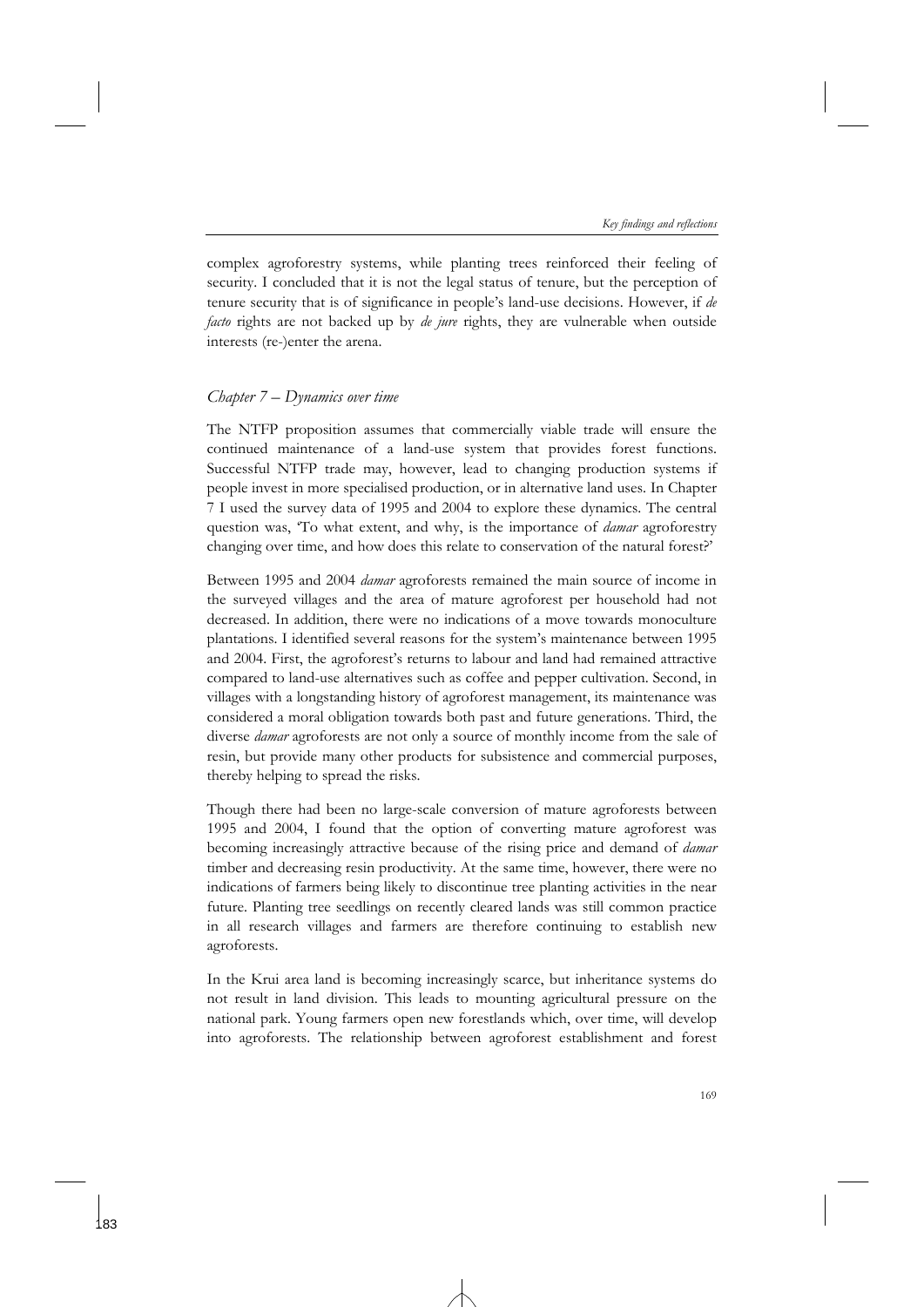complex agroforestry systems, while planting trees reinforced their feeling of security. I concluded that it is not the legal status of tenure, but the perception of tenure security that is of significance in people's land-use decisions. However, if *de facto* rights are not backed up by *de jure* rights, they are vulnerable when outside interests (re-)enter the arena.

## *Chapter 7 – Dynamics over time*

The NTFP proposition assumes that commercially viable trade will ensure the continued maintenance of a land-use system that provides forest functions. Successful NTFP trade may, however, lead to changing production systems if people invest in more specialised production, or in alternative land uses. In Chapter 7 I used the survey data of 1995 and 2004 to explore these dynamics. The central question was, 'To what extent, and why, is the importance of *damar* agroforestry changing over time, and how does this relate to conservation of the natural forest?'

Between 1995 and 2004 *damar* agroforests remained the main source of income in the surveyed villages and the area of mature agroforest per household had not decreased. In addition, there were no indications of a move towards monoculture plantations. I identified several reasons for the system's maintenance between 1995 and 2004. First, the agroforest's returns to labour and land had remained attractive compared to land-use alternatives such as coffee and pepper cultivation. Second, in villages with a longstanding history of agroforest management, its maintenance was considered a moral obligation towards both past and future generations. Third, the diverse *damar* agroforests are not only a source of monthly income from the sale of resin, but provide many other products for subsistence and commercial purposes, thereby helping to spread the risks.

Though there had been no large-scale conversion of mature agroforests between 1995 and 2004, I found that the option of converting mature agroforest was becoming increasingly attractive because of the rising price and demand of *damar* timber and decreasing resin productivity. At the same time, however, there were no indications of farmers being likely to discontinue tree planting activities in the near future. Planting tree seedlings on recently cleared lands was still common practice in all research villages and farmers are therefore continuing to establish new agroforests.

In the Krui area land is becoming increasingly scarce, but inheritance systems do not result in land division. This leads to mounting agricultural pressure on the national park. Young farmers open new forestlands which, over time, will develop into agroforests. The relationship between agroforest establishment and forest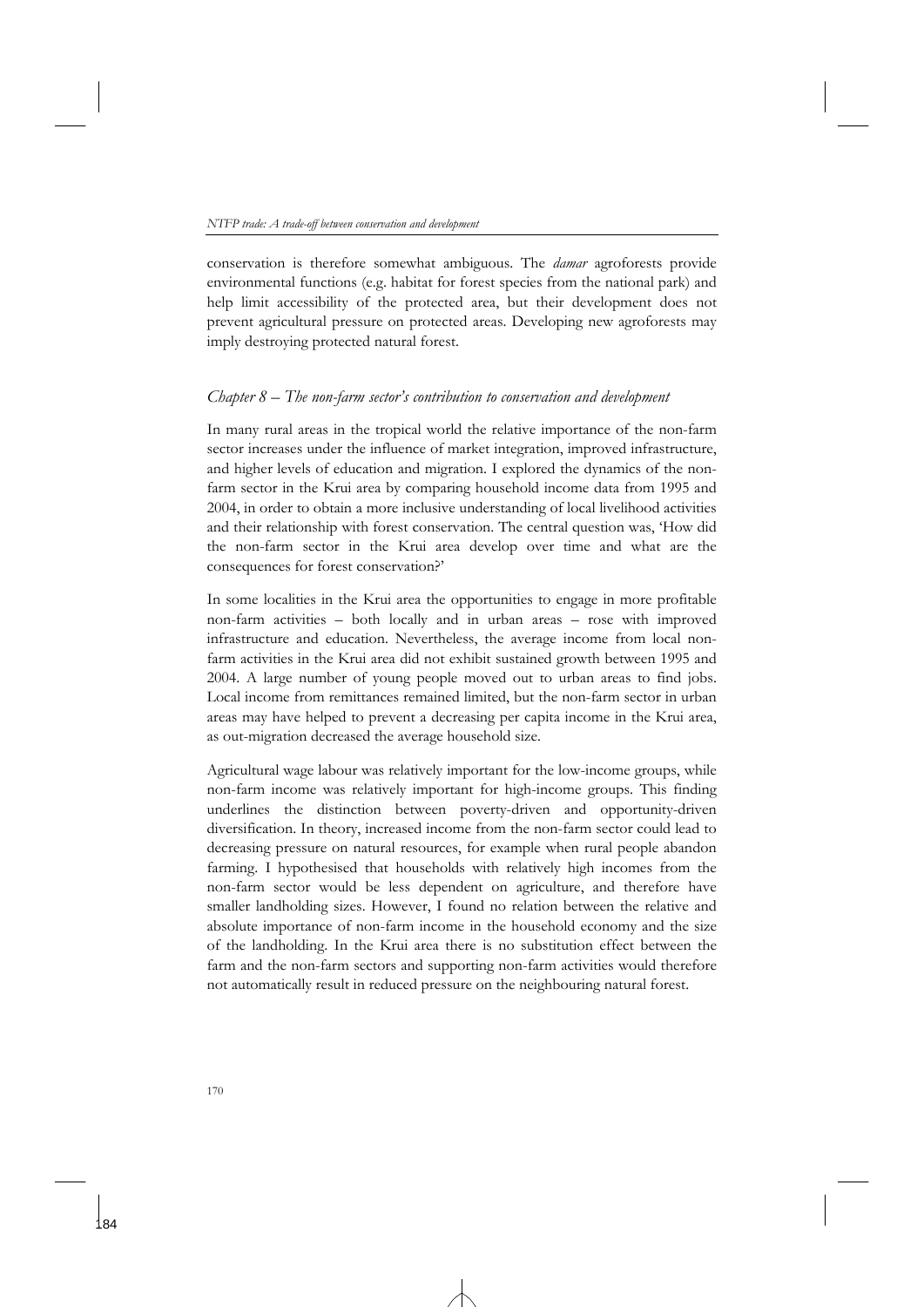conservation is therefore somewhat ambiguous. The *damar* agroforests provide environmental functions (e.g. habitat for forest species from the national park) and help limit accessibility of the protected area, but their development does not prevent agricultural pressure on protected areas. Developing new agroforests may imply destroying protected natural forest.

### *Chapter 8 – The non-farm sector's contribution to conservation and development*

In many rural areas in the tropical world the relative importance of the non-farm sector increases under the influence of market integration, improved infrastructure, and higher levels of education and migration. I explored the dynamics of the nonfarm sector in the Krui area by comparing household income data from 1995 and 2004, in order to obtain a more inclusive understanding of local livelihood activities and their relationship with forest conservation. The central question was, 'How did the non-farm sector in the Krui area develop over time and what are the consequences for forest conservation?'

In some localities in the Krui area the opportunities to engage in more profitable non-farm activities – both locally and in urban areas – rose with improved infrastructure and education. Nevertheless, the average income from local nonfarm activities in the Krui area did not exhibit sustained growth between 1995 and 2004. A large number of young people moved out to urban areas to find jobs. Local income from remittances remained limited, but the non-farm sector in urban areas may have helped to prevent a decreasing per capita income in the Krui area, as out-migration decreased the average household size.

Agricultural wage labour was relatively important for the low-income groups, while non-farm income was relatively important for high-income groups. This finding underlines the distinction between poverty-driven and opportunity-driven diversification. In theory, increased income from the non-farm sector could lead to decreasing pressure on natural resources, for example when rural people abandon farming. I hypothesised that households with relatively high incomes from the non-farm sector would be less dependent on agriculture, and therefore have smaller landholding sizes. However, I found no relation between the relative and absolute importance of non-farm income in the household economy and the size of the landholding. In the Krui area there is no substitution effect between the farm and the non-farm sectors and supporting non-farm activities would therefore not automatically result in reduced pressure on the neighbouring natural forest.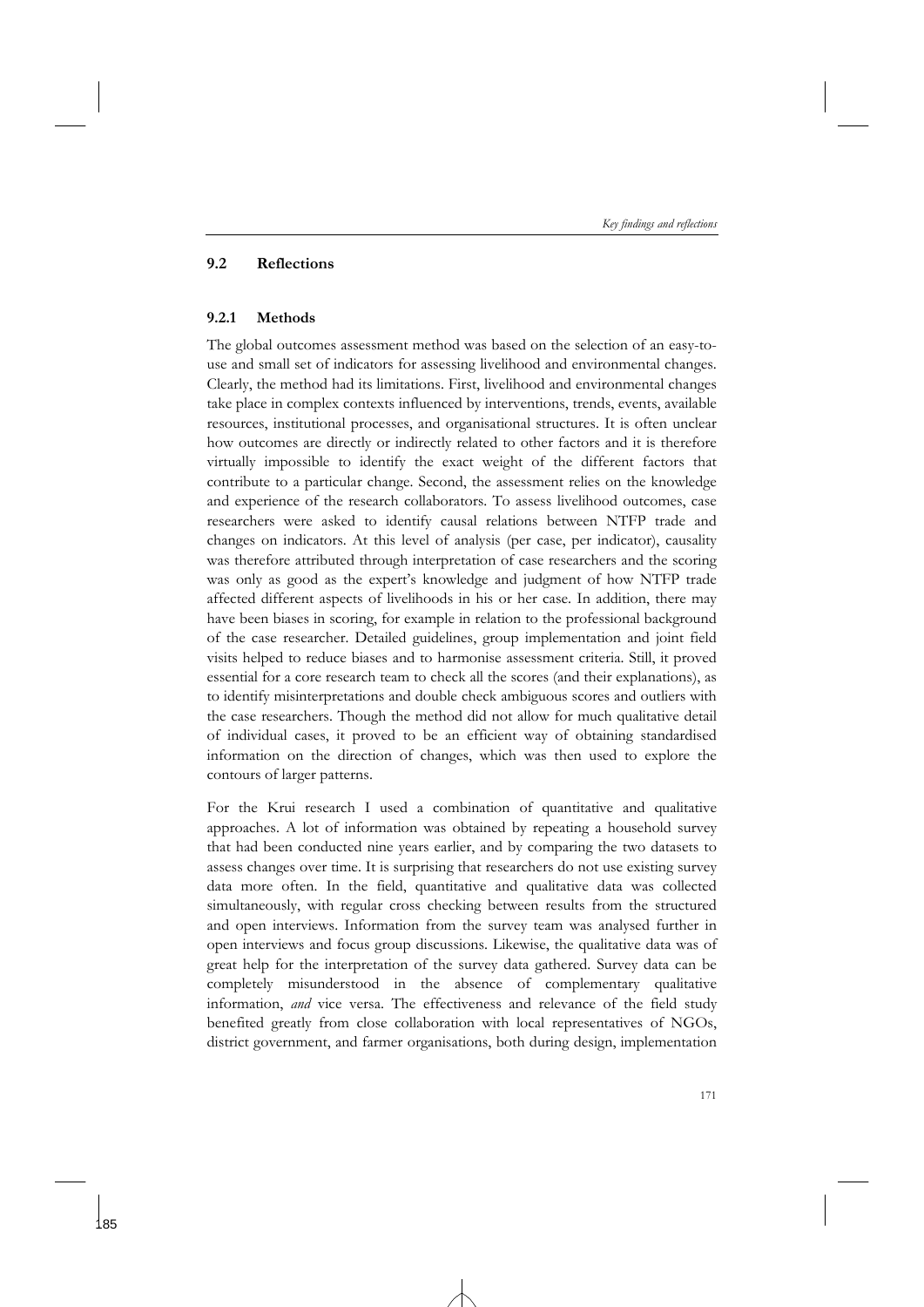### **9.2 Reflections**

### **9.2.1 Methods**

The global outcomes assessment method was based on the selection of an easy-touse and small set of indicators for assessing livelihood and environmental changes. Clearly, the method had its limitations. First, livelihood and environmental changes take place in complex contexts influenced by interventions, trends, events, available resources, institutional processes, and organisational structures. It is often unclear how outcomes are directly or indirectly related to other factors and it is therefore virtually impossible to identify the exact weight of the different factors that contribute to a particular change. Second, the assessment relies on the knowledge and experience of the research collaborators. To assess livelihood outcomes, case researchers were asked to identify causal relations between NTFP trade and changes on indicators. At this level of analysis (per case, per indicator), causality was therefore attributed through interpretation of case researchers and the scoring was only as good as the expert's knowledge and judgment of how NTFP trade affected different aspects of livelihoods in his or her case. In addition, there may have been biases in scoring, for example in relation to the professional background of the case researcher. Detailed guidelines, group implementation and joint field visits helped to reduce biases and to harmonise assessment criteria. Still, it proved essential for a core research team to check all the scores (and their explanations), as to identify misinterpretations and double check ambiguous scores and outliers with the case researchers. Though the method did not allow for much qualitative detail of individual cases, it proved to be an efficient way of obtaining standardised information on the direction of changes, which was then used to explore the contours of larger patterns.

For the Krui research I used a combination of quantitative and qualitative approaches. A lot of information was obtained by repeating a household survey that had been conducted nine years earlier, and by comparing the two datasets to assess changes over time. It is surprising that researchers do not use existing survey data more often. In the field, quantitative and qualitative data was collected simultaneously, with regular cross checking between results from the structured and open interviews. Information from the survey team was analysed further in open interviews and focus group discussions. Likewise, the qualitative data was of great help for the interpretation of the survey data gathered. Survey data can be completely misunderstood in the absence of complementary qualitative information, *and* vice versa. The effectiveness and relevance of the field study benefited greatly from close collaboration with local representatives of NGOs, district government, and farmer organisations, both during design, implementation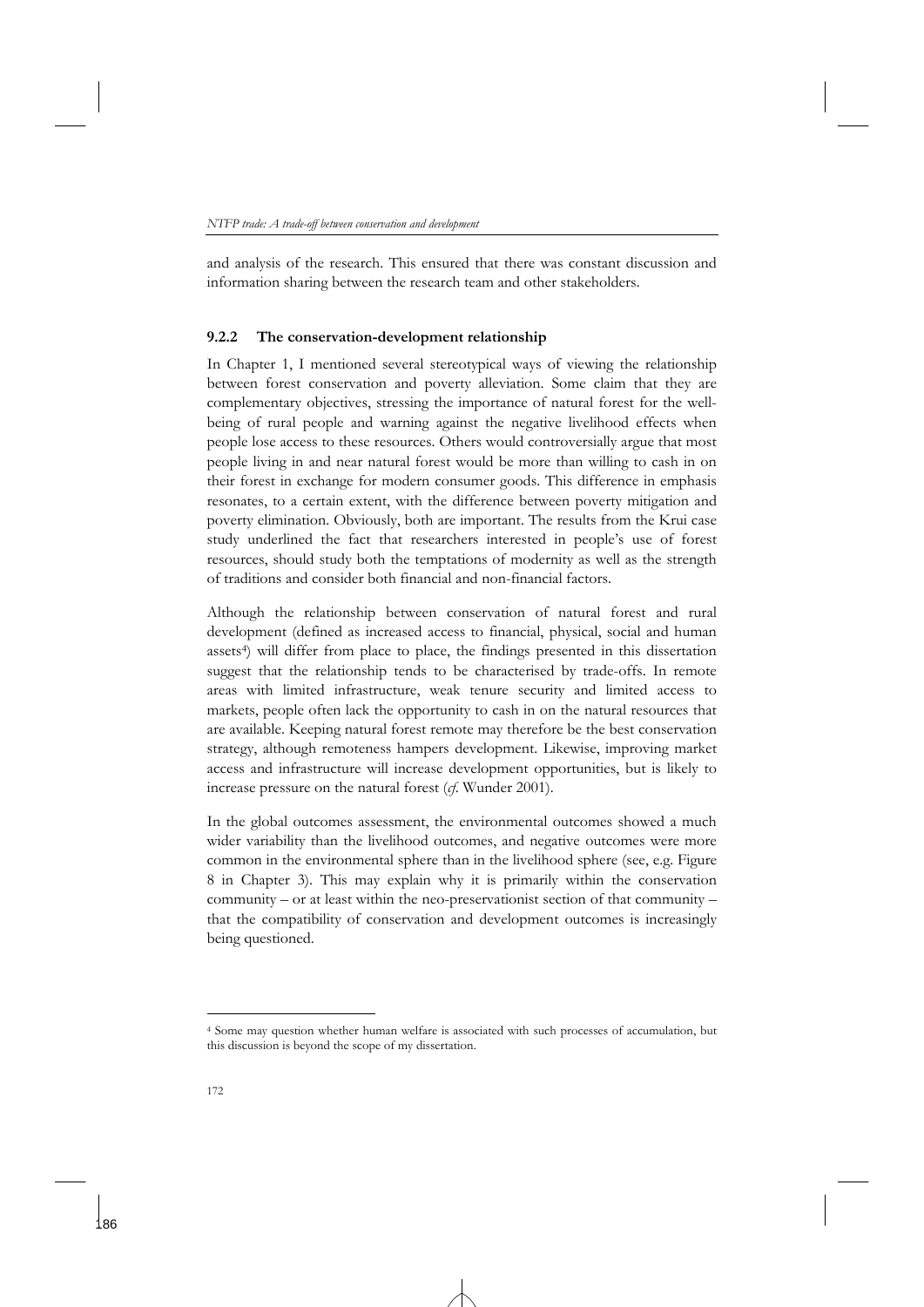and analysis of the research. This ensured that there was constant discussion and information sharing between the research team and other stakeholders.

### **9.2.2 The conservation-development relationship**

In Chapter 1, I mentioned several stereotypical ways of viewing the relationship between forest conservation and poverty alleviation. Some claim that they are complementary objectives, stressing the importance of natural forest for the wellbeing of rural people and warning against the negative livelihood effects when people lose access to these resources. Others would controversially argue that most people living in and near natural forest would be more than willing to cash in on their forest in exchange for modern consumer goods. This difference in emphasis resonates, to a certain extent, with the difference between poverty mitigation and poverty elimination. Obviously, both are important. The results from the Krui case study underlined the fact that researchers interested in people's use of forest resources, should study both the temptations of modernity as well as the strength of traditions and consider both financial and non-financial factors.

Although the relationship between conservation of natural forest and rural development (defined as increased access to financial, physical, social and human assets4) will differ from place to place, the findings presented in this dissertation suggest that the relationship tends to be characterised by trade-offs. In remote areas with limited infrastructure, weak tenure security and limited access to markets, people often lack the opportunity to cash in on the natural resources that are available. Keeping natural forest remote may therefore be the best conservation strategy, although remoteness hampers development. Likewise, improving market access and infrastructure will increase development opportunities, but is likely to increase pressure on the natural forest (*cf*. Wunder 2001).

In the global outcomes assessment, the environmental outcomes showed a much wider variability than the livelihood outcomes, and negative outcomes were more common in the environmental sphere than in the livelihood sphere (see, e.g. Figure 8 in Chapter 3). This may explain why it is primarily within the conservation community – or at least within the neo-preservationist section of that community – that the compatibility of conservation and development outcomes is increasingly being questioned.

 $\ddot{ }$ 

<sup>4</sup> Some may question whether human welfare is associated with such processes of accumulation, but this discussion is beyond the scope of my dissertation.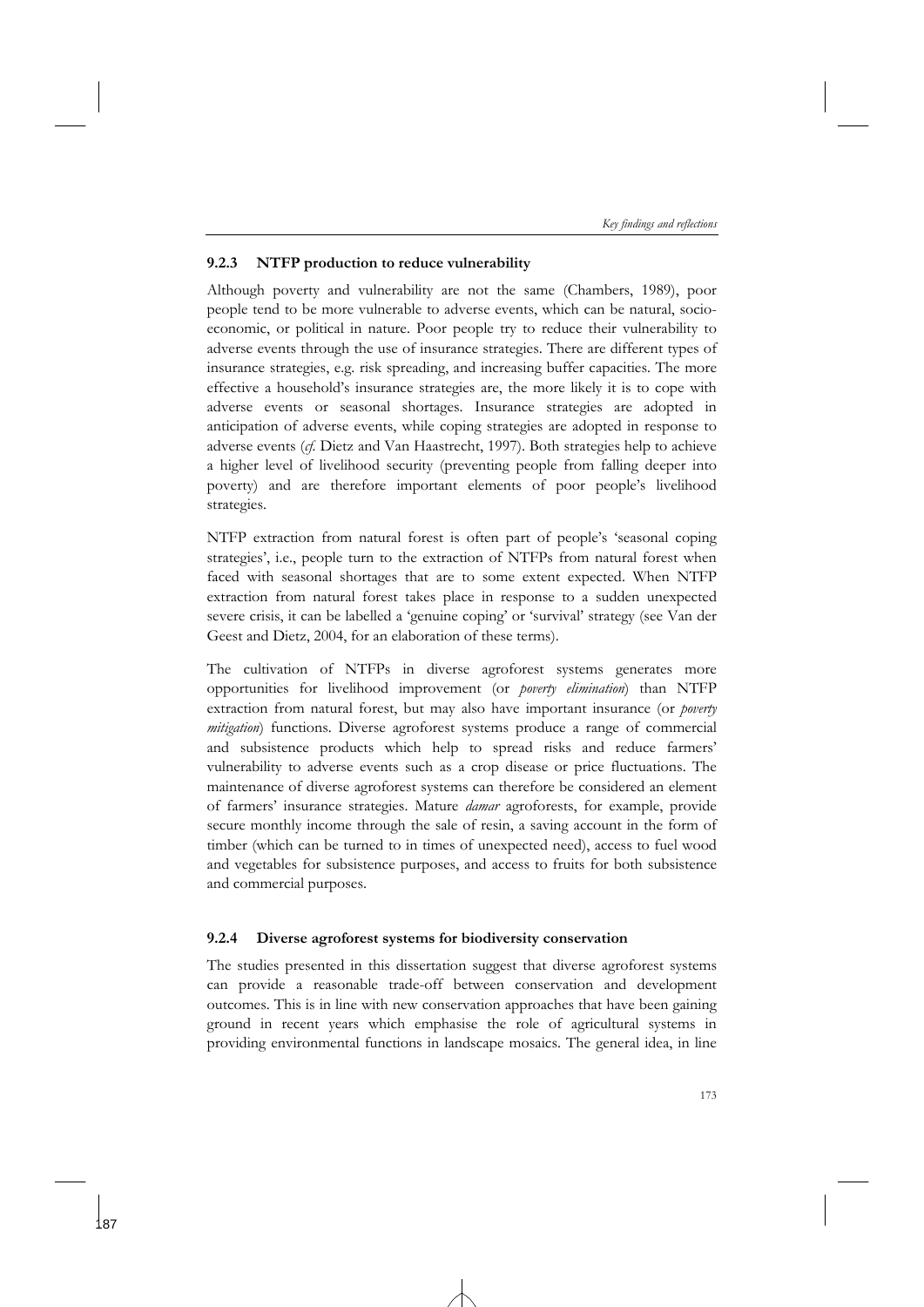## **9.2.3 NTFP production to reduce vulnerability**

Although poverty and vulnerability are not the same (Chambers, 1989), poor people tend to be more vulnerable to adverse events, which can be natural, socioeconomic, or political in nature. Poor people try to reduce their vulnerability to adverse events through the use of insurance strategies. There are different types of insurance strategies, e.g. risk spreading, and increasing buffer capacities. The more effective a household's insurance strategies are, the more likely it is to cope with adverse events or seasonal shortages. Insurance strategies are adopted in anticipation of adverse events, while coping strategies are adopted in response to adverse events (*cf.* Dietz and Van Haastrecht, 1997). Both strategies help to achieve a higher level of livelihood security (preventing people from falling deeper into poverty) and are therefore important elements of poor people's livelihood strategies.

NTFP extraction from natural forest is often part of people's 'seasonal coping strategies', i.e., people turn to the extraction of NTFPs from natural forest when faced with seasonal shortages that are to some extent expected. When NTFP extraction from natural forest takes place in response to a sudden unexpected severe crisis, it can be labelled a 'genuine coping' or 'survival' strategy (see Van der Geest and Dietz, 2004, for an elaboration of these terms).

The cultivation of NTFPs in diverse agroforest systems generates more opportunities for livelihood improvement (or *poverty elimination*) than NTFP extraction from natural forest, but may also have important insurance (or *poverty mitigation*) functions. Diverse agroforest systems produce a range of commercial and subsistence products which help to spread risks and reduce farmers' vulnerability to adverse events such as a crop disease or price fluctuations. The maintenance of diverse agroforest systems can therefore be considered an element of farmers' insurance strategies. Mature *damar* agroforests, for example, provide secure monthly income through the sale of resin, a saving account in the form of timber (which can be turned to in times of unexpected need), access to fuel wood and vegetables for subsistence purposes, and access to fruits for both subsistence and commercial purposes.

## **9.2.4 Diverse agroforest systems for biodiversity conservation**

The studies presented in this dissertation suggest that diverse agroforest systems can provide a reasonable trade-off between conservation and development outcomes. This is in line with new conservation approaches that have been gaining ground in recent years which emphasise the role of agricultural systems in providing environmental functions in landscape mosaics. The general idea, in line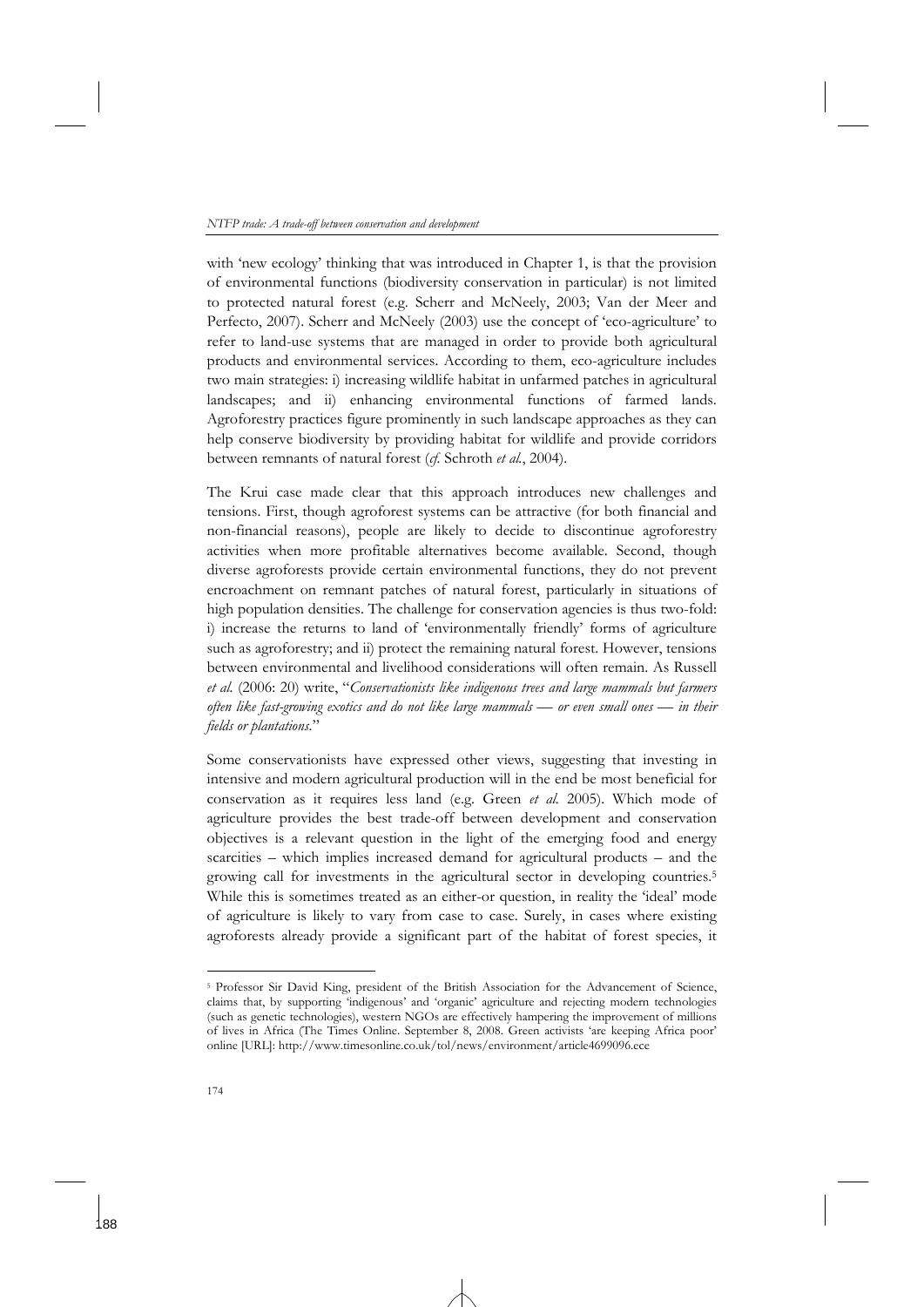with 'new ecology' thinking that was introduced in Chapter 1, is that the provision of environmental functions (biodiversity conservation in particular) is not limited to protected natural forest (e.g. Scherr and McNeely, 2003; Van der Meer and Perfecto, 2007). Scherr and McNeely (2003) use the concept of 'eco-agriculture' to refer to land-use systems that are managed in order to provide both agricultural products and environmental services. According to them, eco-agriculture includes two main strategies: i) increasing wildlife habitat in unfarmed patches in agricultural landscapes; and ii) enhancing environmental functions of farmed lands. Agroforestry practices figure prominently in such landscape approaches as they can help conserve biodiversity by providing habitat for wildlife and provide corridors between remnants of natural forest (*cf.* Schroth *et al.*, 2004).

The Krui case made clear that this approach introduces new challenges and tensions. First, though agroforest systems can be attractive (for both financial and non-financial reasons), people are likely to decide to discontinue agroforestry activities when more profitable alternatives become available. Second, though diverse agroforests provide certain environmental functions, they do not prevent encroachment on remnant patches of natural forest, particularly in situations of high population densities. The challenge for conservation agencies is thus two-fold: i) increase the returns to land of 'environmentally friendly' forms of agriculture such as agroforestry; and ii) protect the remaining natural forest. However, tensions between environmental and livelihood considerations will often remain. As Russell *et al.* (2006: 20) write, "*Conservationists like indigenous trees and large mammals but farmers often like fast-growing exotics and do not like large mammals — or even small ones — in their fields or plantations.*"

Some conservationists have expressed other views, suggesting that investing in intensive and modern agricultural production will in the end be most beneficial for conservation as it requires less land (e.g. Green *et al.* 2005). Which mode of agriculture provides the best trade-off between development and conservation objectives is a relevant question in the light of the emerging food and energy scarcities – which implies increased demand for agricultural products – and the growing call for investments in the agricultural sector in developing countries.5 While this is sometimes treated as an either-or question, in reality the 'ideal' mode of agriculture is likely to vary from case to case. Surely, in cases where existing agroforests already provide a significant part of the habitat of forest species, it

<sup>5</sup> Professor Sir David King, president of the British Association for the Advancement of Science, claims that, by supporting 'indigenous' and 'organic' agriculture and rejecting modern technologies (such as genetic technologies), western NGOs are effectively hampering the improvement of millions of lives in Africa (The Times Online. September 8, 2008. Green activists 'are keeping Africa poor' online [URL]: http://www.timesonline.co.uk/tol/news/environment/article4699096.ece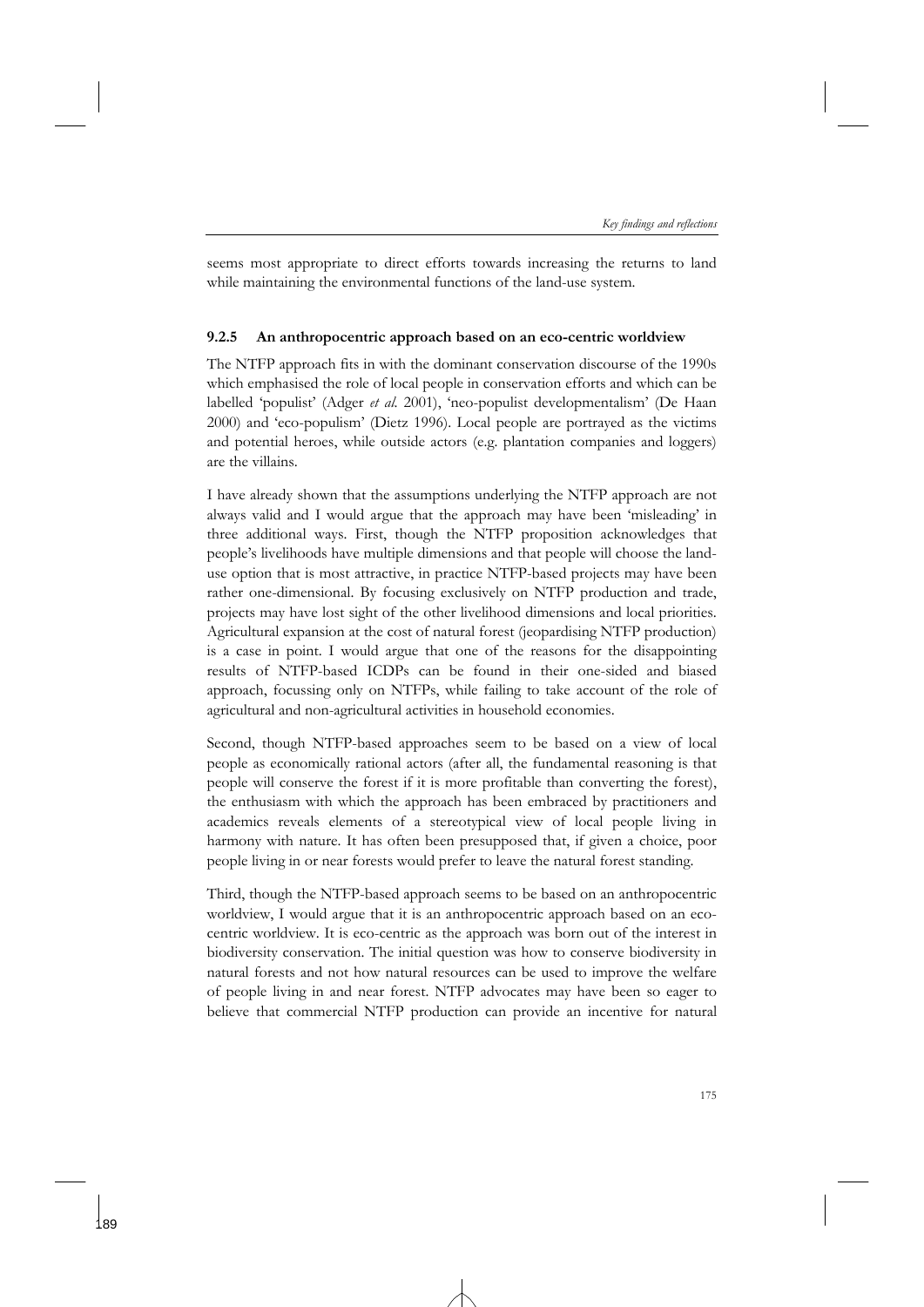seems most appropriate to direct efforts towards increasing the returns to land while maintaining the environmental functions of the land-use system.

### **9.2.5 An anthropocentric approach based on an eco-centric worldview**

The NTFP approach fits in with the dominant conservation discourse of the 1990s which emphasised the role of local people in conservation efforts and which can be labelled 'populist' (Adger *et al*. 2001), 'neo-populist developmentalism' (De Haan 2000) and 'eco-populism' (Dietz 1996). Local people are portrayed as the victims and potential heroes, while outside actors (e.g. plantation companies and loggers) are the villains.

I have already shown that the assumptions underlying the NTFP approach are not always valid and I would argue that the approach may have been 'misleading' in three additional ways. First, though the NTFP proposition acknowledges that people's livelihoods have multiple dimensions and that people will choose the landuse option that is most attractive, in practice NTFP-based projects may have been rather one-dimensional. By focusing exclusively on NTFP production and trade, projects may have lost sight of the other livelihood dimensions and local priorities. Agricultural expansion at the cost of natural forest (jeopardising NTFP production) is a case in point. I would argue that one of the reasons for the disappointing results of NTFP-based ICDPs can be found in their one-sided and biased approach, focussing only on NTFPs, while failing to take account of the role of agricultural and non-agricultural activities in household economies.

Second, though NTFP-based approaches seem to be based on a view of local people as economically rational actors (after all, the fundamental reasoning is that people will conserve the forest if it is more profitable than converting the forest), the enthusiasm with which the approach has been embraced by practitioners and academics reveals elements of a stereotypical view of local people living in harmony with nature. It has often been presupposed that, if given a choice, poor people living in or near forests would prefer to leave the natural forest standing.

Third, though the NTFP-based approach seems to be based on an anthropocentric worldview, I would argue that it is an anthropocentric approach based on an ecocentric worldview. It is eco-centric as the approach was born out of the interest in biodiversity conservation. The initial question was how to conserve biodiversity in natural forests and not how natural resources can be used to improve the welfare of people living in and near forest. NTFP advocates may have been so eager to believe that commercial NTFP production can provide an incentive for natural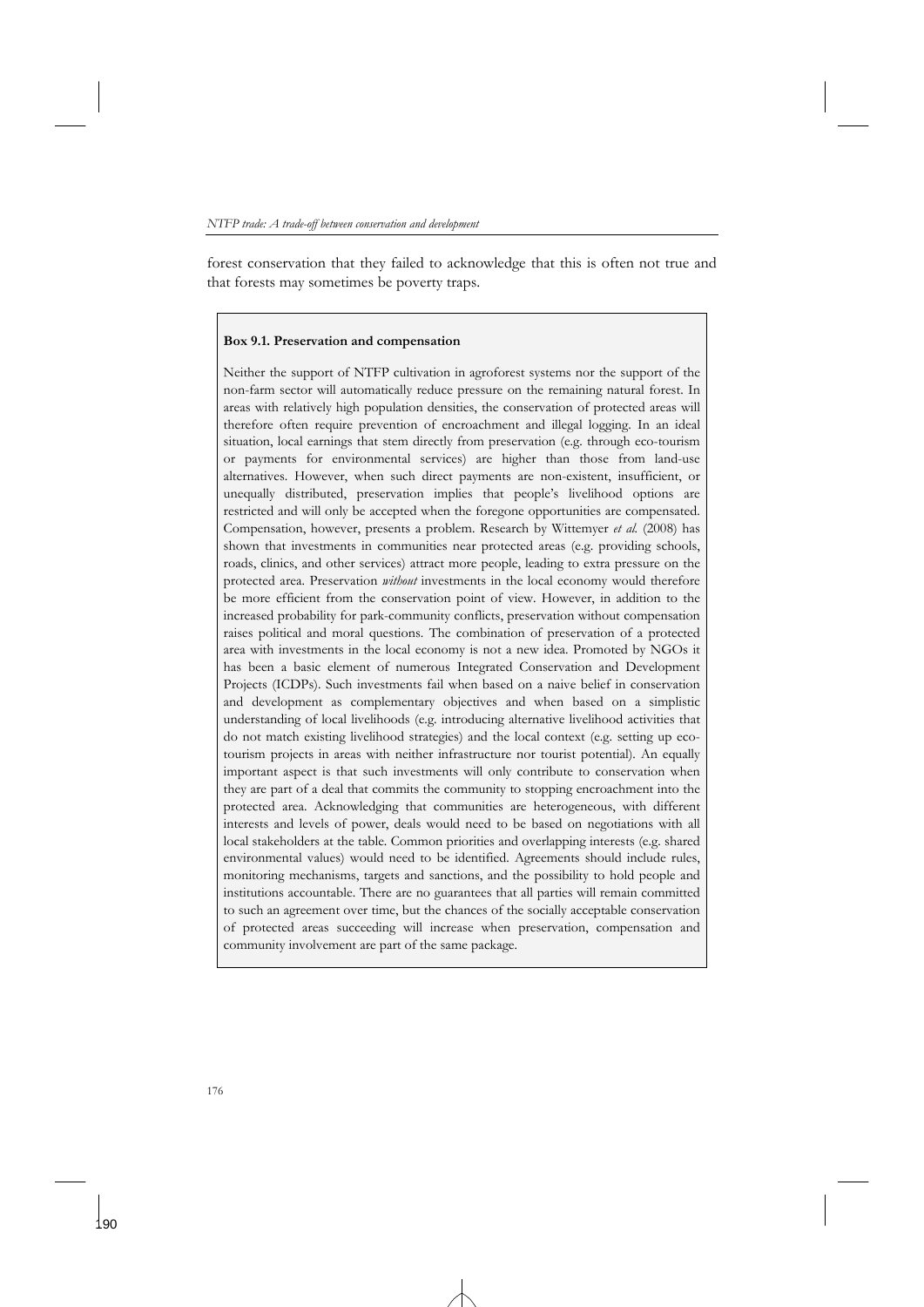forest conservation that they failed to acknowledge that this is often not true and that forests may sometimes be poverty traps.

#### **Box 9.1. Preservation and compensation**

Neither the support of NTFP cultivation in agroforest systems nor the support of the non-farm sector will automatically reduce pressure on the remaining natural forest. In areas with relatively high population densities, the conservation of protected areas will therefore often require prevention of encroachment and illegal logging. In an ideal situation, local earnings that stem directly from preservation (e.g. through eco-tourism or payments for environmental services) are higher than those from land-use alternatives. However, when such direct payments are non-existent, insufficient, or unequally distributed, preservation implies that people's livelihood options are restricted and will only be accepted when the foregone opportunities are compensated. Compensation, however, presents a problem. Research by Wittemyer *et al.* (2008) has shown that investments in communities near protected areas (e.g. providing schools, roads, clinics, and other services) attract more people, leading to extra pressure on the protected area. Preservation *without* investments in the local economy would therefore be more efficient from the conservation point of view. However, in addition to the increased probability for park-community conflicts, preservation without compensation raises political and moral questions. The combination of preservation of a protected area with investments in the local economy is not a new idea. Promoted by NGOs it has been a basic element of numerous Integrated Conservation and Development Projects (ICDPs). Such investments fail when based on a naive belief in conservation and development as complementary objectives and when based on a simplistic understanding of local livelihoods (e.g. introducing alternative livelihood activities that do not match existing livelihood strategies) and the local context (e.g. setting up ecotourism projects in areas with neither infrastructure nor tourist potential). An equally important aspect is that such investments will only contribute to conservation when they are part of a deal that commits the community to stopping encroachment into the protected area. Acknowledging that communities are heterogeneous, with different interests and levels of power, deals would need to be based on negotiations with all local stakeholders at the table. Common priorities and overlapping interests (e.g. shared environmental values) would need to be identified. Agreements should include rules, monitoring mechanisms, targets and sanctions, and the possibility to hold people and institutions accountable. There are no guarantees that all parties will remain committed to such an agreement over time, but the chances of the socially acceptable conservation of protected areas succeeding will increase when preservation, compensation and community involvement are part of the same package.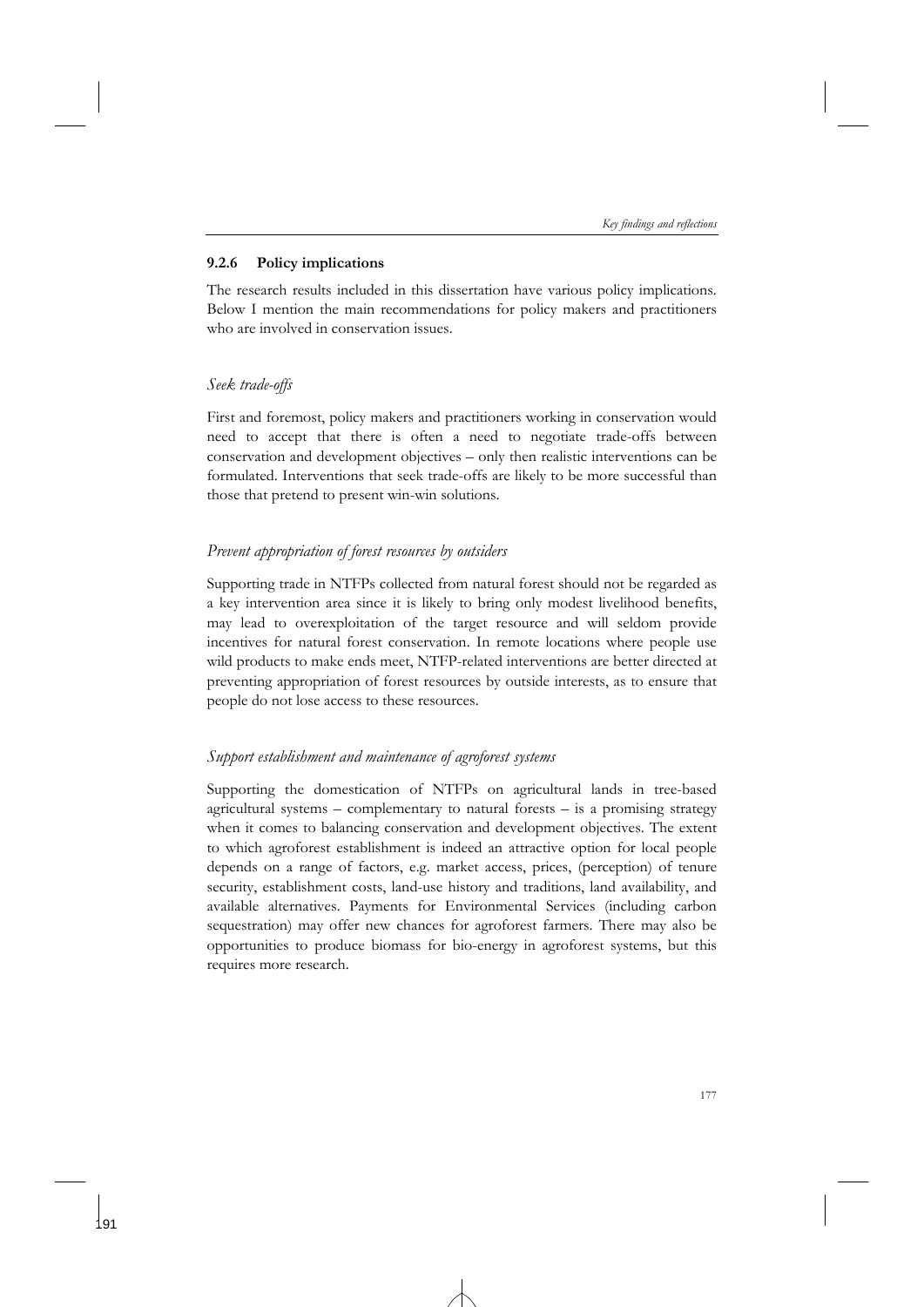### **9.2.6 Policy implications**

The research results included in this dissertation have various policy implications. Below I mention the main recommendations for policy makers and practitioners who are involved in conservation issues.

## *Seek trade-offs*

First and foremost, policy makers and practitioners working in conservation would need to accept that there is often a need to negotiate trade-offs between conservation and development objectives – only then realistic interventions can be formulated. Interventions that seek trade-offs are likely to be more successful than those that pretend to present win-win solutions.

## *Prevent appropriation of forest resources by outsiders*

Supporting trade in NTFPs collected from natural forest should not be regarded as a key intervention area since it is likely to bring only modest livelihood benefits, may lead to overexploitation of the target resource and will seldom provide incentives for natural forest conservation. In remote locations where people use wild products to make ends meet, NTFP-related interventions are better directed at preventing appropriation of forest resources by outside interests, as to ensure that people do not lose access to these resources.

## *Support establishment and maintenance of agroforest systems*

Supporting the domestication of NTFPs on agricultural lands in tree-based agricultural systems – complementary to natural forests – is a promising strategy when it comes to balancing conservation and development objectives. The extent to which agroforest establishment is indeed an attractive option for local people depends on a range of factors, e.g. market access, prices, (perception) of tenure security, establishment costs, land-use history and traditions, land availability, and available alternatives. Payments for Environmental Services (including carbon sequestration) may offer new chances for agroforest farmers. There may also be opportunities to produce biomass for bio-energy in agroforest systems, but this requires more research.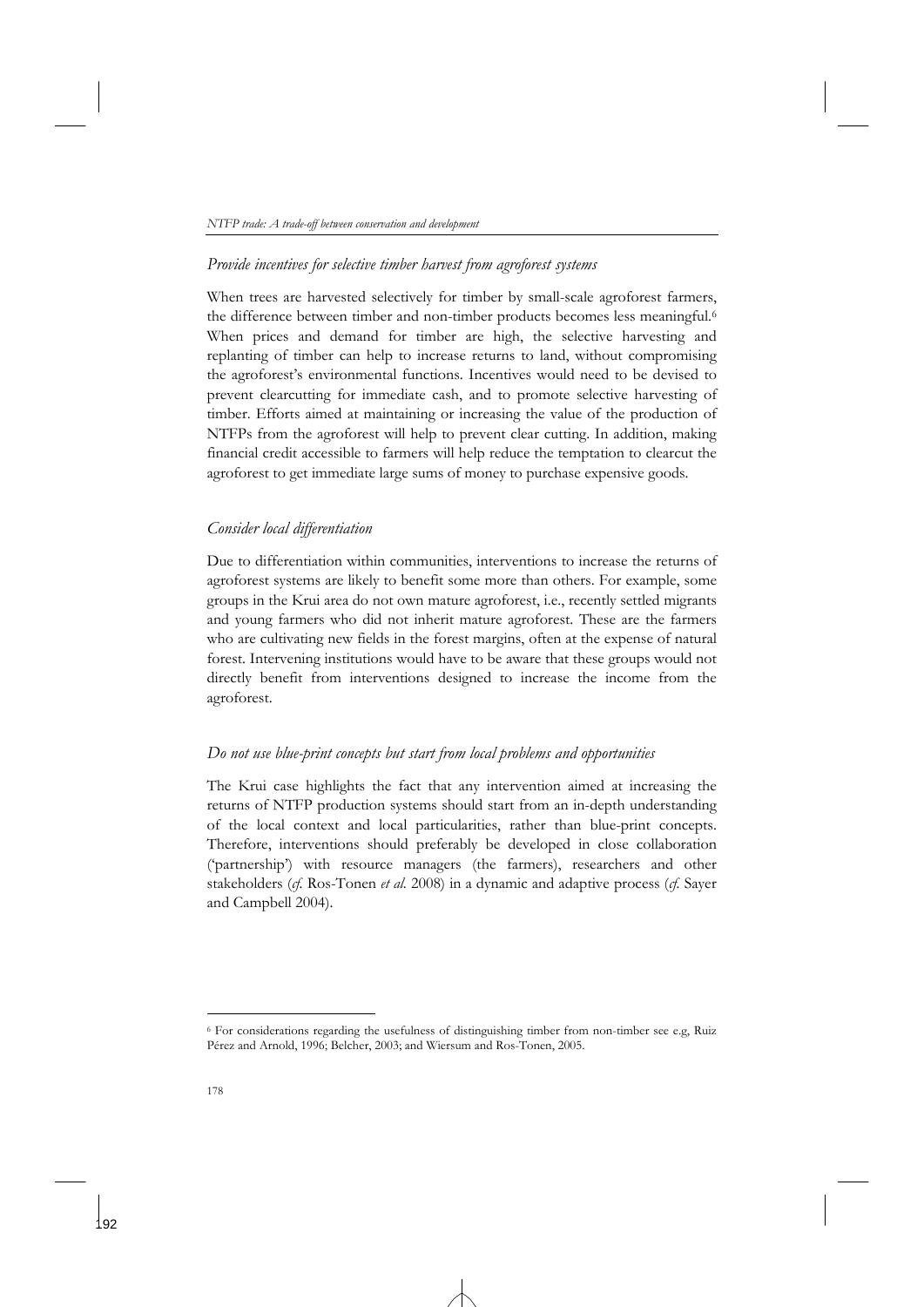### *Provide incentives for selective timber harvest from agroforest systems*

When trees are harvested selectively for timber by small-scale agroforest farmers, the difference between timber and non-timber products becomes less meaningful.<sup>6</sup> When prices and demand for timber are high, the selective harvesting and replanting of timber can help to increase returns to land, without compromising the agroforest's environmental functions. Incentives would need to be devised to prevent clearcutting for immediate cash, and to promote selective harvesting of timber. Efforts aimed at maintaining or increasing the value of the production of NTFPs from the agroforest will help to prevent clear cutting. In addition, making financial credit accessible to farmers will help reduce the temptation to clearcut the agroforest to get immediate large sums of money to purchase expensive goods.

### *Consider local differentiation*

Due to differentiation within communities, interventions to increase the returns of agroforest systems are likely to benefit some more than others. For example, some groups in the Krui area do not own mature agroforest, i.e., recently settled migrants and young farmers who did not inherit mature agroforest. These are the farmers who are cultivating new fields in the forest margins, often at the expense of natural forest. Intervening institutions would have to be aware that these groups would not directly benefit from interventions designed to increase the income from the agroforest.

### *Do not use blue-print concepts but start from local problems and opportunities*

The Krui case highlights the fact that any intervention aimed at increasing the returns of NTFP production systems should start from an in-depth understanding of the local context and local particularities, rather than blue-print concepts. Therefore, interventions should preferably be developed in close collaboration ('partnership') with resource managers (the farmers), researchers and other stakeholders (*cf.* Ros-Tonen *et al.* 2008) in a dynamic and adaptive process (*cf.* Sayer and Campbell 2004).

<sup>6</sup> For considerations regarding the usefulness of distinguishing timber from non-timber see e.g, Ruiz Pérez and Arnold, 1996; Belcher, 2003; and Wiersum and Ros-Tonen, 2005.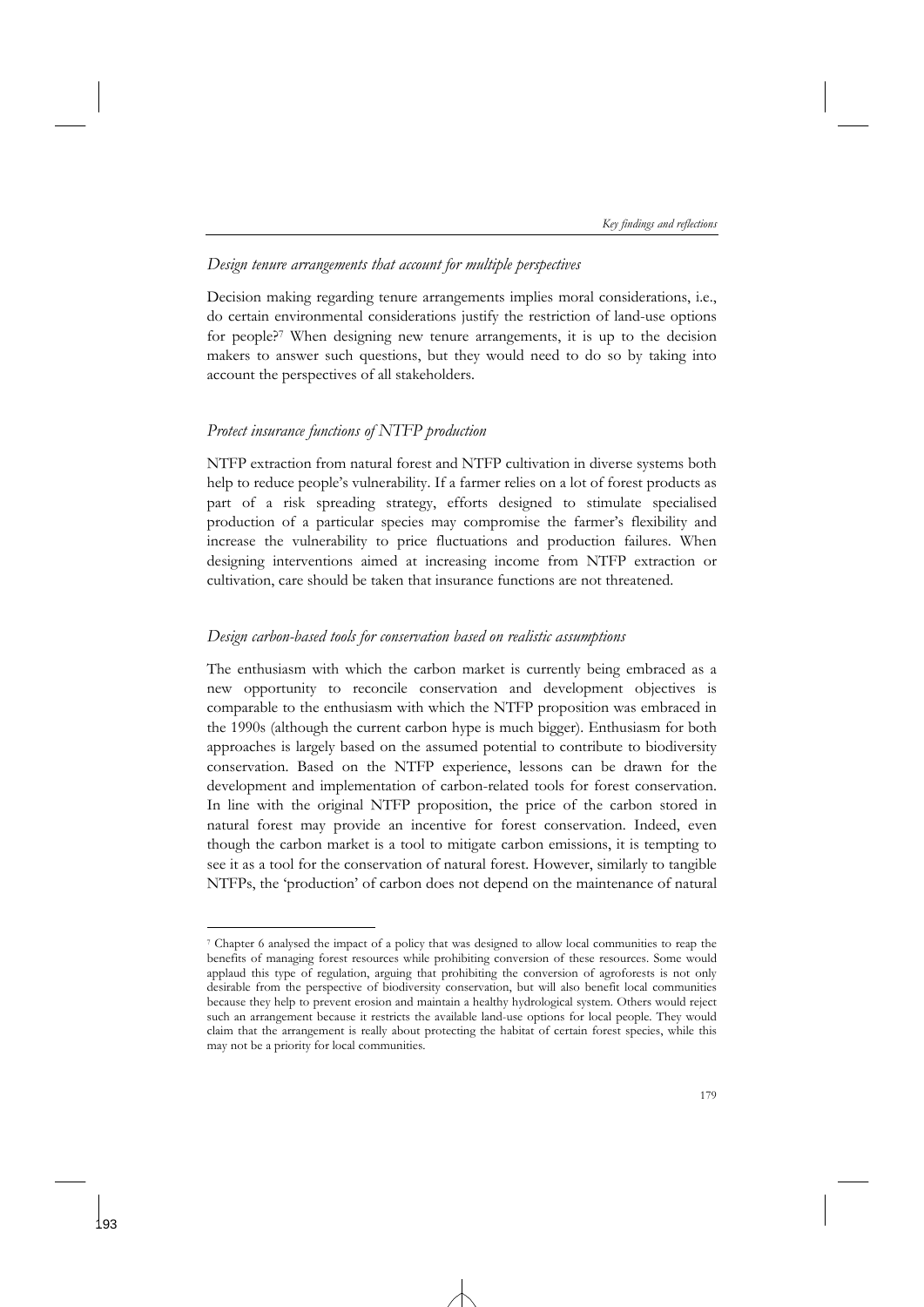### *Design tenure arrangements that account for multiple perspectives*

Decision making regarding tenure arrangements implies moral considerations, i.e., do certain environmental considerations justify the restriction of land-use options for people?7 When designing new tenure arrangements, it is up to the decision makers to answer such questions, but they would need to do so by taking into account the perspectives of all stakeholders.

### *Protect insurance functions of NTFP production*

-

NTFP extraction from natural forest and NTFP cultivation in diverse systems both help to reduce people's vulnerability. If a farmer relies on a lot of forest products as part of a risk spreading strategy, efforts designed to stimulate specialised production of a particular species may compromise the farmer's flexibility and increase the vulnerability to price fluctuations and production failures. When designing interventions aimed at increasing income from NTFP extraction or cultivation, care should be taken that insurance functions are not threatened.

### *Design carbon-based tools for conservation based on realistic assumptions*

The enthusiasm with which the carbon market is currently being embraced as a new opportunity to reconcile conservation and development objectives is comparable to the enthusiasm with which the NTFP proposition was embraced in the 1990s (although the current carbon hype is much bigger). Enthusiasm for both approaches is largely based on the assumed potential to contribute to biodiversity conservation. Based on the NTFP experience, lessons can be drawn for the development and implementation of carbon-related tools for forest conservation. In line with the original NTFP proposition, the price of the carbon stored in natural forest may provide an incentive for forest conservation. Indeed, even though the carbon market is a tool to mitigate carbon emissions, it is tempting to see it as a tool for the conservation of natural forest. However, similarly to tangible NTFPs, the 'production' of carbon does not depend on the maintenance of natural

<sup>7</sup> Chapter 6 analysed the impact of a policy that was designed to allow local communities to reap the benefits of managing forest resources while prohibiting conversion of these resources. Some would applaud this type of regulation, arguing that prohibiting the conversion of agroforests is not only desirable from the perspective of biodiversity conservation, but will also benefit local communities because they help to prevent erosion and maintain a healthy hydrological system. Others would reject such an arrangement because it restricts the available land-use options for local people. They would claim that the arrangement is really about protecting the habitat of certain forest species, while this may not be a priority for local communities.